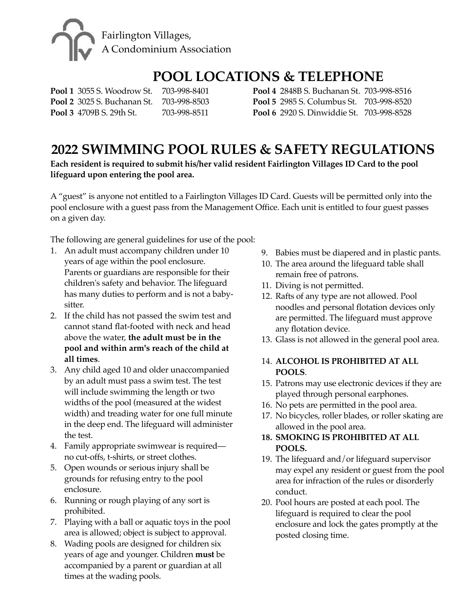

# **POOL LOCATIONS & TELEPHONE**

**Pool 1** 3055 S. Woodrow St. 703-998-8401 **Pool 2** 3025 S. Buchanan St. 703-998-8503 **Pool 3** 4709B S. 29th St. 703-998-8511

**Pool 4 2848B S. Buchanan St. 703-998-8516 Pool 5** 2985 S. Columbus St. 703-998-8520 **Pool 6** 2920 S. Dinwiddie St. 703-998-8528

# **2022 SWIMMING POOL RULES & SAFETY REGULATIONS**

**Each resident is required to submit his/her valid resident Fairlington Villages ID Card to the pool lifeguard upon entering the pool area.**

A "guest" is anyone not entitled to a Fairlington Villages ID Card. Guests will be permitted only into the pool enclosure with a guest pass from the Management Office. Each unit is entitled to four guest passes on a given day.

The following are general guidelines for use of the pool:

- 1. An adult must accompany children under 10 years of age within the pool enclosure. Parents or guardians are responsible for their children's safety and behavior. The lifeguard has many duties to perform and is not a babysitter.
- 2. If the child has not passed the swim test and cannot stand flat-footed with neck and head above the water, **the adult must be in the pool and within arm's reach of the child at all times**.
- 3. Any child aged 10 and older unaccompanied by an adult must pass a swim test. The test will include swimming the length or two widths of the pool (measured at the widest width) and treading water for one full minute in the deep end. The lifeguard will administer the test.
- 4. Family appropriate swimwear is required no cut-offs, t-shirts, or street clothes.
- 5. Open wounds or serious injury shall be grounds for refusing entry to the pool enclosure.
- 6. Running or rough playing of any sort is prohibited.
- 7. Playing with a ball or aquatic toys in the pool area is allowed; object is subject to approval.
- 8. Wading pools are designed for children six years of age and younger. Children **must** be accompanied by a parent or guardian at all times at the wading pools.
- 9. Babies must be diapered and in plastic pants.
- 10. The area around the lifeguard table shall remain free of patrons.
- 11. Diving is not permitted.
- 12. Rafts of any type are not allowed. Pool noodles and personal flotation devices only are permitted. The lifeguard must approve any flotation device.
- 13. Glass is not allowed in the general pool area.

#### 14. ALCOHOL IS PROHIBITED AT ALL POOLS.

- 15. Patrons may use electronic devices if they are played through personal earphones.
- 16. No pets are permitted in the pool area.
- 17. No bicycles, roller blades, or roller skating are allowed in the pool area.

### **18. SMOKING IS PROHIBITED AT ALL** POOLS.

- 19. The lifeguard and/or lifeguard supervisor may expel any resident or guest from the pool area for infraction of the rules or disorderly conduct.
- 20. Pool hours are posted at each pool. The lifeguard is required to clear the pool enclosure and lock the gates promptly at the posted closing time.